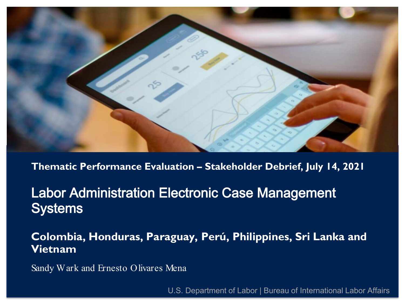

**Haiti Evaluation and Survey Services**<br>Haiti Evaluation and Survey Services Services and Survey Services Services and Survey Services and Survey Servi Project Labor Administration Electronic Case Management **Systems** 

Colombia, Honduras, Paraguay, Perú, Philippines, Sri Lanka and rietilam $\mathbf{E}$ **Vietnam**

Sandy Wark and Ernesto Olivares Mena

12/11/2020 HOME FINAL EVALUATION IN-BRIEF 1 U.S. Department of Labor | Bureau of International Labor Affairs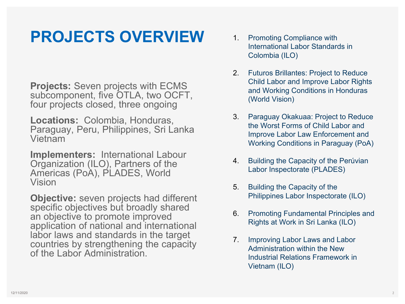### **PROJECTS OVERVIEW**

**Projects:** Seven projects with ECMS subcomponent, five OTLA, two OCFT, four projects closed, three ongoing

**Locations:** Colombia, Honduras, Paraguay, Peru, Philippines, Sri Lanka Vietnam

**Implementers:** International Labour Organization (ILO), Partners of the Americas (PoA), PLADES, World Vision

**Objective:** seven projects had different specific objectives but broadly shared an objective to promote improved application of national and international labor laws and standards in the target countries by strengthening the capacity of the Labor Administration.

- 1. Promoting Compliance with International Labor Standards in Colombia (ILO)
- 2. Futuros Brillantes: Project to Reduce Child Labor and Improve Labor Rights and Working Conditions in Honduras (World Vision)
- 3. Paraguay Okakuaa: Project to Reduce the Worst Forms of Child Labor and Improve Labor Law Enforcement and Working Conditions in Paraguay (PoA)
- 4. Building the Capacity of the Perúvian Labor Inspectorate (PLADES)
- 5. Building the Capacity of the Philippines Labor Inspectorate (ILO)
- 6. Promoting Fundamental Principles and Rights at Work in Sri Lanka (ILO)
- 7. Improving Labor Laws and Labor Administration within the New Industrial Relations Framework in Vietnam (ILO)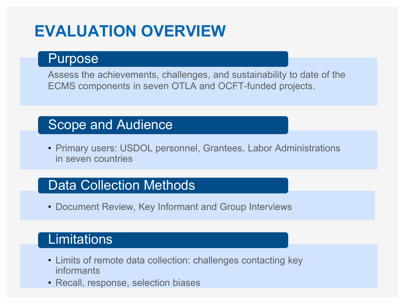### **EVALUATION OVERVIEW**

#### Purpose

Assess the achievements, challenges, and sustainability to date of the ECMS components in seven OTLA and OCFT-funded projects.

### Scope and Audience

• Primary users: USDOL personnel, Grantees, Labor Administrations in seven countries

#### Data Collection Methods

• Document Review, Key Informant and Group Interviews

#### **Limitations**

- Limits of remote data collection: challenges contacting key informants
- Recall, response, selection biases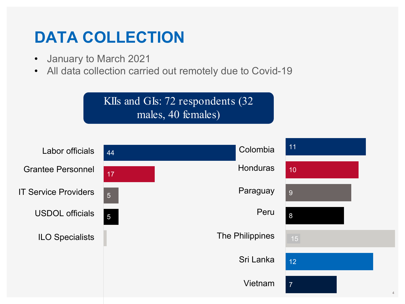### **DATA COLLECTION**

- January to March 2021
- All data collection carried out remotely due to Covid-19

KIIs and GIs: 72 respondents (32 males, 40 females)

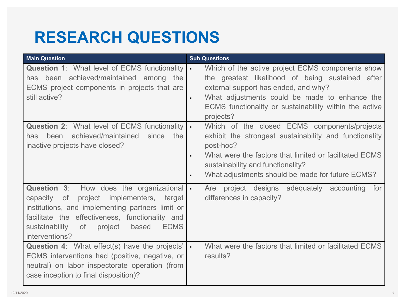### **RESEARCH QUESTIONS**

| <b>Main Question</b>                                                                                                                                                                                                                                                          | <b>Sub Questions</b>                                                                                                                                                                                                                                                                     |
|-------------------------------------------------------------------------------------------------------------------------------------------------------------------------------------------------------------------------------------------------------------------------------|------------------------------------------------------------------------------------------------------------------------------------------------------------------------------------------------------------------------------------------------------------------------------------------|
| <b>Question 1: What level of ECMS functionality  </b><br>has been achieved/maintained among the<br>ECMS project components in projects that are<br>still active?                                                                                                              | Which of the active project ECMS components show<br>the greatest likelihood of being sustained after<br>external support has ended, and why?<br>What adjustments could be made to enhance the<br>$\blacksquare$<br>ECMS functionality or sustainability within the active<br>projects?   |
| <b>Question 2: What level of ECMS functionality  </b><br>achieved/maintained<br>since<br>the<br>has<br>been<br>inactive projects have closed?                                                                                                                                 | Which of the closed ECMS components/projects<br>exhibit the strongest sustainability and functionality<br>post-hoc?<br>What were the factors that limited or facilitated ECMS<br>$\blacksquare$<br>sustainability and functionality?<br>What adjustments should be made for future ECMS? |
| Question 3: How does the organizational<br>project implementers, target<br>0f<br>capacity<br>institutions, and implementing partners limit or<br>facilitate the effectiveness, functionality and<br>sustainability<br>of<br><b>ECMS</b><br>project<br>based<br>interventions? | project designs adequately accounting<br>Are<br>for<br>differences in capacity?                                                                                                                                                                                                          |
| <b>Question 4:</b> What effect(s) have the projects'<br>ECMS interventions had (positive, negative, or<br>neutral) on labor inspectorate operation (from<br>case inception to final disposition)?                                                                             | What were the factors that limited or facilitated ECMS<br>results?                                                                                                                                                                                                                       |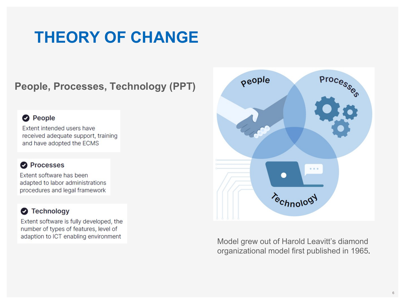### **THEORY OF CHANGE**

**People, Processes, Technology (PPT)** 

#### **O** People

Extent intended users have received adequate support, training and have adopted the ECMS

#### **O** Processes

Extent software has been adapted to labor administrations procedures and legal framework

#### Technology

Extent software is fully developed, the number of types of features, level of adaption to ICT enabling environment



Model grew out of Harold Leavitt's diamond organizational model first published in 1965.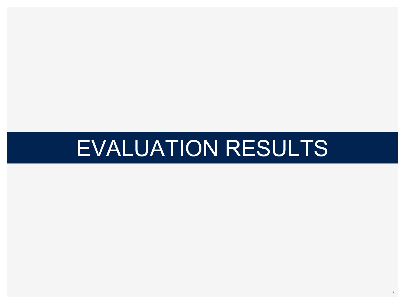# EVALUATION RESULTS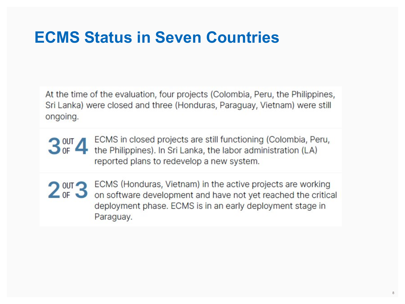### **ECMS Status in Seven Countries**

At the time of the evaluation, four projects (Colombia, Peru, the Philippines, Sri Lanka) were closed and three (Honduras, Paraguay, Vietnam) were still ongoing.

ECMS in closed projects are still functioning (Colombia, Peru,  $3<sub>of</sub><sup>out</sup>$ 4 the Philippines). In Sri Lanka, the labor administration (LA) reported plans to redevelop a new system.

2 out 3 ECMS (Honduras, Vietnam) in the active projects are working<br>on software development and have not yet reached the critical deployment phase. ECMS is in an early deployment stage in Paraguay.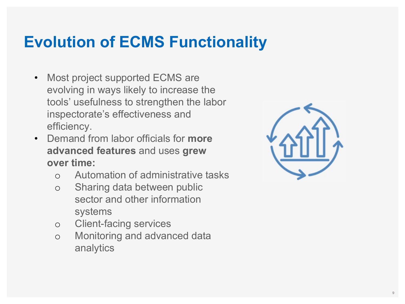### **Evolution of ECMS Functionality**

- Most project supported ECMS are evolving in ways likely to increase the tools' usefulness to strengthen the labor inspectorate's effectiveness and efficiency.
- Demand from labor officials for **more advanced features** and uses **grew over time:**
	- o Automation of administrative tasks
	- o Sharing data between public sector and other information systems
	- o Client-facing services
	- o Monitoring and advanced data analytics

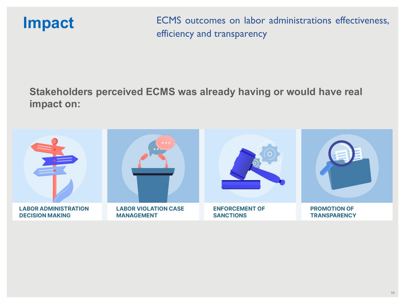**Impact** ECMS outcomes on labor administrations effectiveness, efficiency and transparency

#### **Stakeholders perceived ECMS was already having or would have real impact on:**

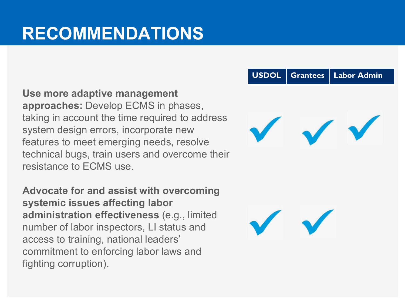## **RECOMMENDATIONS**

**Use more adaptive management approaches:** Develop ECMS in phases, taking in account the time required to address system design errors, incorporate new features to meet emerging needs, resolve technical bugs, train users and overcome their resistance to ECMS use.

**Advocate for and assist with overcoming systemic issues affecting labor administration effectiveness** (e.g., limited number of labor inspectors, LI status and access to training, national leaders' commitment to enforcing labor laws and fighting corruption).

#### **USDOL Grantees Labor Admin**

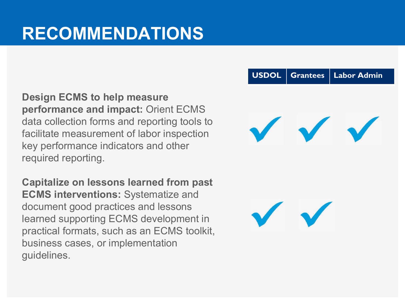### **RECOMMENDATIONS**

**Design ECMS to help measure performance and impact:** Orient ECMS data collection forms and reporting tools to facilitate measurement of labor inspection key performance indicators and other required reporting.

**Capitalize on lessons learned from past ECMS interventions:** Systematize and document good practices and lessons learned supporting ECMS development in practical formats, such as an ECMS toolkit, business cases, or implementation guidelines.

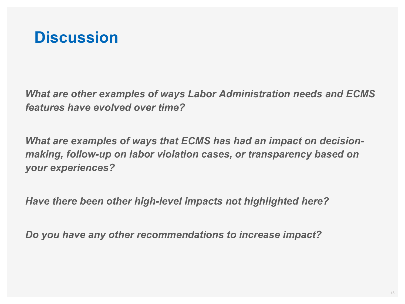

*What are other examples of ways Labor Administration needs and ECMS features have evolved over time?* 

*What are examples of ways that ECMS has had an impact on decisionmaking, follow-up on labor violation cases, or transparency based on your experiences?*

*Have there been other high-level impacts not highlighted here?* 

*Do you have any other recommendations to increase impact?*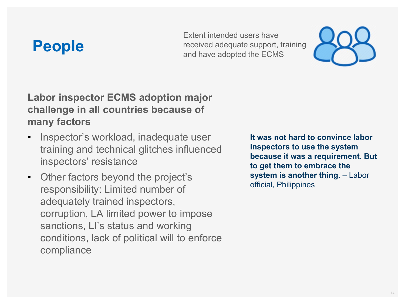### **People**

Extent intended users have received adequate support, training and have adopted the ECMS



#### **Labor inspector ECMS adoption major challenge in all countries because of many factors**

- Inspector's workload, inadequate user training and technical glitches influenced inspectors' resistance
- Other factors beyond the project's responsibility: Limited number of adequately trained inspectors, corruption, LA limited power to impose sanctions, LI's status and working conditions, lack of political will to enforce compliance

**It was not hard to convince labor inspectors to use the system because it was a requirement. But to get them to embrace the system is another thing. - Labor** official, Philippines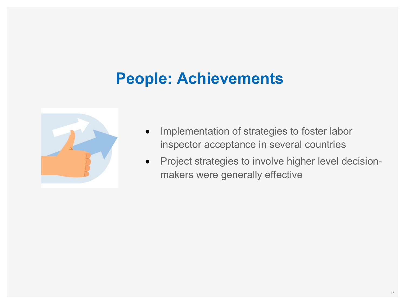### **People: Achievements**



- Implementation of strategies to foster labor inspector acceptance in several countries
- Project strategies to involve higher level decisionmakers were generally effective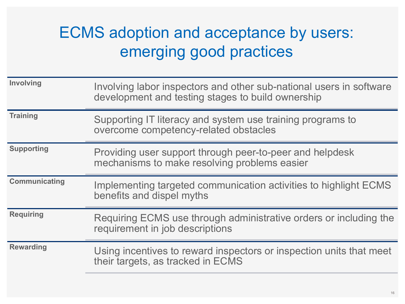### ECMS adoption and acceptance by users: emerging good practices

| <b>Involving</b>     | Involving labor inspectors and other sub-national users in software<br>development and testing stages to build ownership |
|----------------------|--------------------------------------------------------------------------------------------------------------------------|
| <b>Training</b>      | Supporting IT literacy and system use training programs to<br>overcome competency-related obstacles                      |
| <b>Supporting</b>    | Providing user support through peer-to-peer and helpdesk<br>mechanisms to make resolving problems easier                 |
| <b>Communicating</b> | Implementing targeted communication activities to highlight ECMS<br>benefits and dispel myths                            |
| <b>Requiring</b>     | Requiring ECMS use through administrative orders or including the<br>requirement in job descriptions                     |
| <b>Rewarding</b>     | Using incentives to reward inspectors or inspection units that meet<br>their targets, as tracked in ECMS                 |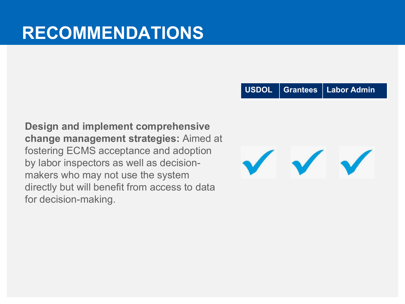**USDOL Grantees Labor Admin**

**Design and implement comprehensive change management strategies:** Aimed at fostering ECMS acceptance and adoption by labor inspectors as well as decisionmakers who may not use the system directly but will benefit from access to data for decision-making.

 $\sqrt{}$  $\checkmark$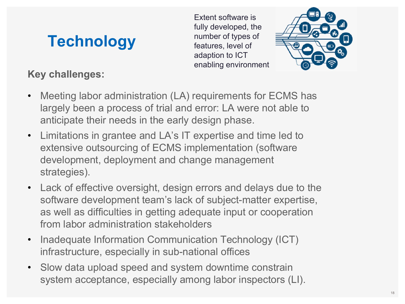### **Technology**

#### **Key challenges:**

Extent software is fully developed, the number of types of features, level of adaption to ICT enabling environment



- Meeting labor administration (LA) requirements for ECMS has largely been a process of trial and error: LA were not able to anticipate their needs in the early design phase.
- Limitations in grantee and LA's IT expertise and time led to extensive outsourcing of ECMS implementation (software development, deployment and change management strategies).
- Lack of effective oversight, design errors and delays due to the software development team's lack of subject-matter expertise, as well as difficulties in getting adequate input or cooperation from labor administration stakeholders
- Inadequate Information Communication Technology (ICT) infrastructure, especially in sub-national offices
- Slow data upload speed and system downtime constrain system acceptance, especially among labor inspectors (LI).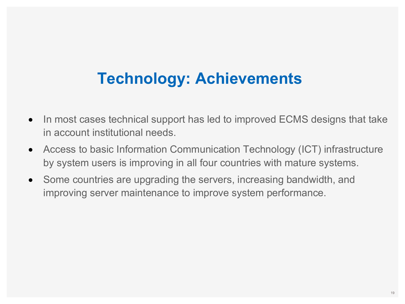### **Technology: Achievements**

- In most cases technical support has led to improved ECMS designs that take in account institutional needs.
- Access to basic Information Communication Technology (ICT) infrastructure by system users is improving in all four countries with mature systems.
- Some countries are upgrading the servers, increasing bandwidth, and improving server maintenance to improve system performance.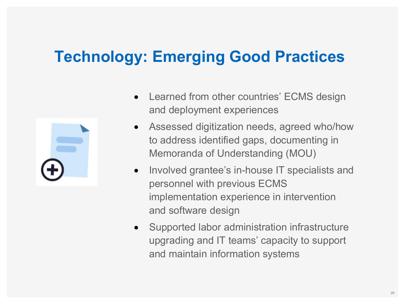### **Technology: Emerging Good Practices**



- Learned from other countries' ECMS design and deployment experiences
- Assessed digitization needs, agreed who/how to address identified gaps, documenting in Memoranda of Understanding (MOU)
- Involved grantee's in-house IT specialists and personnel with previous ECMS implementation experience in intervention and software design
- Supported labor administration infrastructure upgrading and IT teams' capacity to support and maintain information systems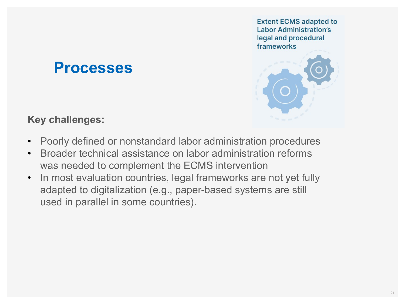**Extent ECMS adapted to Labor Administration's** legal and procedural frameworks



### **Processes**

**Key challenges:**

- Poorly defined or nonstandard labor administration procedures
- Broader technical assistance on labor administration reforms was needed to complement the ECMS intervention
- In most evaluation countries, legal frameworks are not yet fully adapted to digitalization (e.g., paper-based systems are still used in parallel in some countries).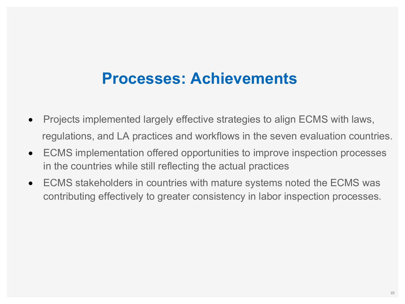### **Processes: Achievements**

- Projects implemented largely effective strategies to align ECMS with laws, regulations, and LA practices and workflows in the seven evaluation countries.
- ECMS implementation offered opportunities to improve inspection processes in the countries while still reflecting the actual practices
- ECMS stakeholders in countries with mature systems noted the ECMS was contributing effectively to greater consistency in labor inspection processes.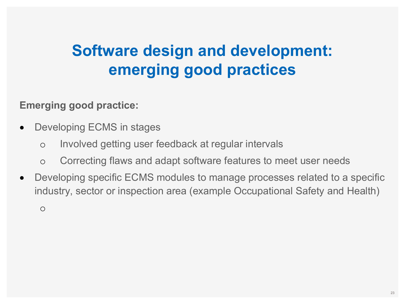### **Software design and development: emerging good practices**

#### **Emerging good practice:**

- Developing ECMS in stages
	- o Involved getting user feedback at regular intervals
	- o Correcting flaws and adapt software features to meet user needs
- Developing specific ECMS modules to manage processes related to a specific industry, sector or inspection area (example Occupational Safety and Health)

o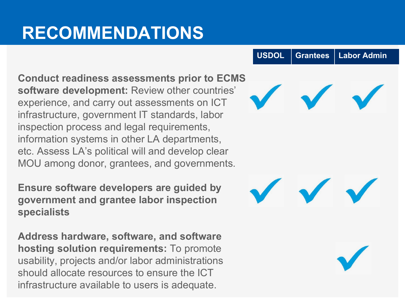## **RECOMMENDATIONS**

**Conduct readiness assessments prior to ECMS software development:** Review other countries' experience, and carry out assessments on ICT infrastructure, government IT standards, labor inspection process and legal requirements, information systems in other LA departments, etc. Assess LA's political will and develop clear MOU among donor, grantees, and governments.

**Ensure software developers are guided by government and grantee labor inspection specialists**

**Address hardware, software, and software hosting solution requirements:** To promote usability, projects and/or labor administrations should allocate resources to ensure the ICT infrastructure available to users is adequate.

**USDOL Grantees Labor Admin**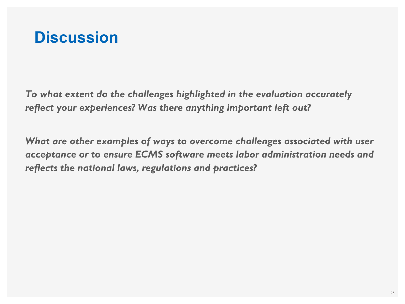

*To what extent do the challenges highlighted in the evaluation accurately reflect your experiences? Was there anything important left out?* 

*What are other examples of ways to overcome challenges associated with user acceptance or to ensure ECMS software meets labor administration needs and reflects the national laws, regulations and practices?*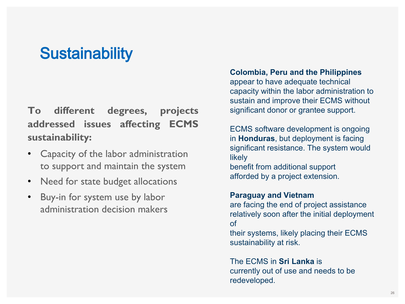### **Sustainability**

**To different degrees, projects addressed issues affecting ECMS sustainability:**

- Capacity of the labor administration to support and maintain the system
- Need for state budget allocations
- Buy-in for system use by labor administration decision makers

#### **Colombia, Peru and the Philippines**

appear to have adequate technical capacity within the labor administration to sustain and improve their ECMS without significant donor or grantee support.

ECMS software development is ongoing in **Honduras**, but deployment is facing significant resistance. The system would likely benefit from additional support afforded by a project extension.

#### **Paraguay and Vietnam**

are facing the end of project assistance relatively soon after the initial deployment of

their systems, likely placing their ECMS sustainability at risk.

The ECMS in **Sri Lanka** is currently out of use and needs to be redeveloped.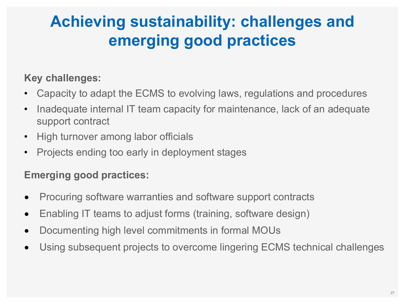### **Achieving sustainability: challenges and emerging good practices**

#### **Key challenges:**

- Capacity to adapt the ECMS to evolving laws, regulations and procedures
- Inadequate internal IT team capacity for maintenance, lack of an adequate support contract
- High turnover among labor officials
- Projects ending too early in deployment stages

#### **Emerging good practices:**

- Procuring software warranties and software support contracts
- Enabling IT teams to adjust forms (training, software design)
- Documenting high level commitments in formal MOUs
- Using subsequent projects to overcome lingering ECMS technical challenges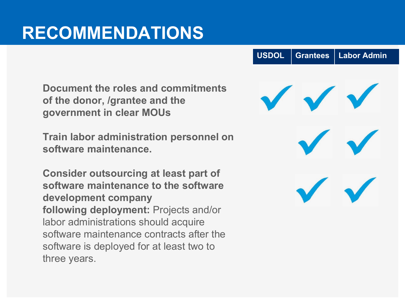### **RECOMMENDATIONS**

**Document the roles and commitments of the donor, /grantee and the government in clear MOUs**

**Train labor administration personnel on software maintenance.** 

**Consider outsourcing at least part of software maintenance to the software development company following deployment:** Projects and/or labor administrations should acquire software maintenance contracts after the software is deployed for at least two to three years.